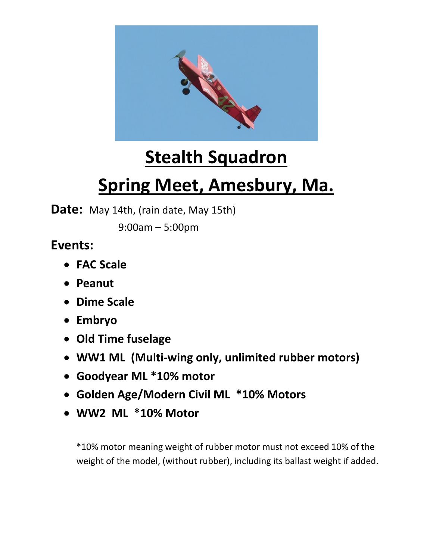

## **Stealth Squadron**

## **Spring Meet, Amesbury, Ma.**

**Date:** May 14th, (rain date, May 15th)

9:00am – 5:00pm

## **Events:**

- **FAC Scale**
- **Peanut**
- **Dime Scale**
- **Embryo**
- **Old Time fuselage**
- **WW1 ML (Multi-wing only, unlimited rubber motors)**
- **Goodyear ML \*10% motor**
- **Golden Age/Modern Civil ML \*10% Motors**
- **WW2 ML \*10% Motor**

\*10% motor meaning weight of rubber motor must not exceed 10% of the weight of the model, (without rubber), including its ballast weight if added.